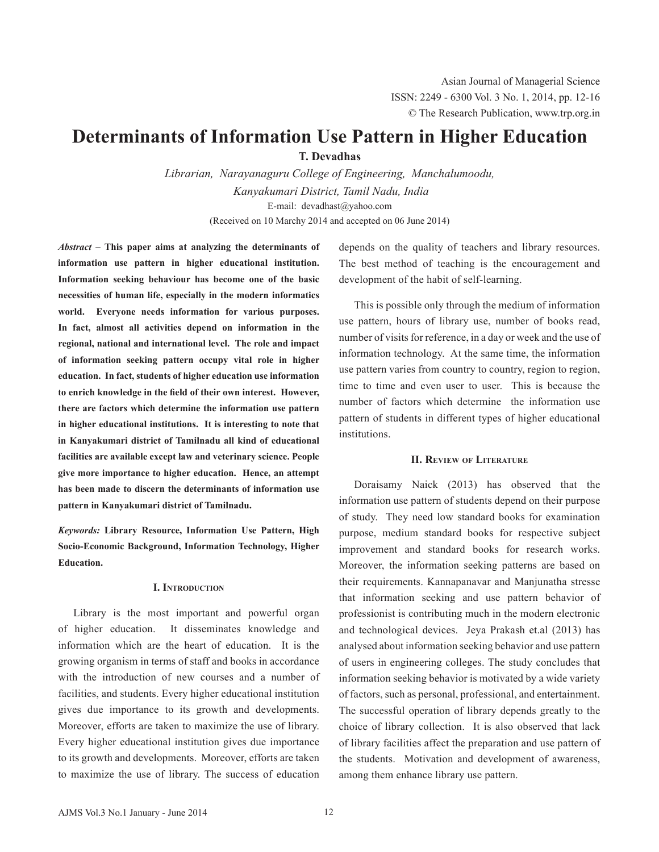# **Determinants of Information Use Pattern in Higher Education**

**T. Devadhas**

*Librarian, Narayanaguru College of Engineering, Manchalumoodu, Kanyakumari District, Tamil Nadu, India* E-mail: devadhast@yahoo.com (Received on 10 Marchy 2014 and accepted on 06 June 2014)

*Abstract* **– This paper aims at analyzing the determinants of information use pattern in higher educational institution. Information seeking behaviour has become one of the basic necessities of human life, especially in the modern informatics world. Everyone needs information for various purposes. In fact, almost all activities depend on information in the regional, national and international level. The role and impact of information seeking pattern occupy vital role in higher education. In fact, students of higher education use information to enrich knowledge in the field of their own interest. However, there are factors which determine the information use pattern in higher educational institutions. It is interesting to note that in Kanyakumari district of Tamilnadu all kind of educational facilities are available except law and veterinary science. People give more importance to higher education. Hence, an attempt has been made to discern the determinants of information use pattern in Kanyakumari district of Tamilnadu.**

*Keywords:* **Library Resource, Information Use Pattern, High Socio-Economic Background, Information Technology, Higher Education.**

# **I. Introduction**

Library is the most important and powerful organ of higher education. It disseminates knowledge and information which are the heart of education. It is the growing organism in terms of staff and books in accordance with the introduction of new courses and a number of facilities, and students. Every higher educational institution gives due importance to its growth and developments. Moreover, efforts are taken to maximize the use of library. Every higher educational institution gives due importance to its growth and developments. Moreover, efforts are taken to maximize the use of library. The success of education

depends on the quality of teachers and library resources. The best method of teaching is the encouragement and development of the habit of self-learning.

This is possible only through the medium of information use pattern, hours of library use, number of books read, number of visits for reference, in a day or week and the use of information technology. At the same time, the information use pattern varies from country to country, region to region, time to time and even user to user. This is because the number of factors which determine the information use pattern of students in different types of higher educational institutions.

# **II. Review of Literature**

Doraisamy Naick (2013) has observed that the information use pattern of students depend on their purpose of study. They need low standard books for examination purpose, medium standard books for respective subject improvement and standard books for research works. Moreover, the information seeking patterns are based on their requirements. Kannapanavar and Manjunatha stresse that information seeking and use pattern behavior of professionist is contributing much in the modern electronic and technological devices. Jeya Prakash et.al (2013) has analysed about information seeking behavior and use pattern of users in engineering colleges. The study concludes that information seeking behavior is motivated by a wide variety of factors, such as personal, professional, and entertainment. The successful operation of library depends greatly to the choice of library collection. It is also observed that lack of library facilities affect the preparation and use pattern of the students. Motivation and development of awareness, among them enhance library use pattern.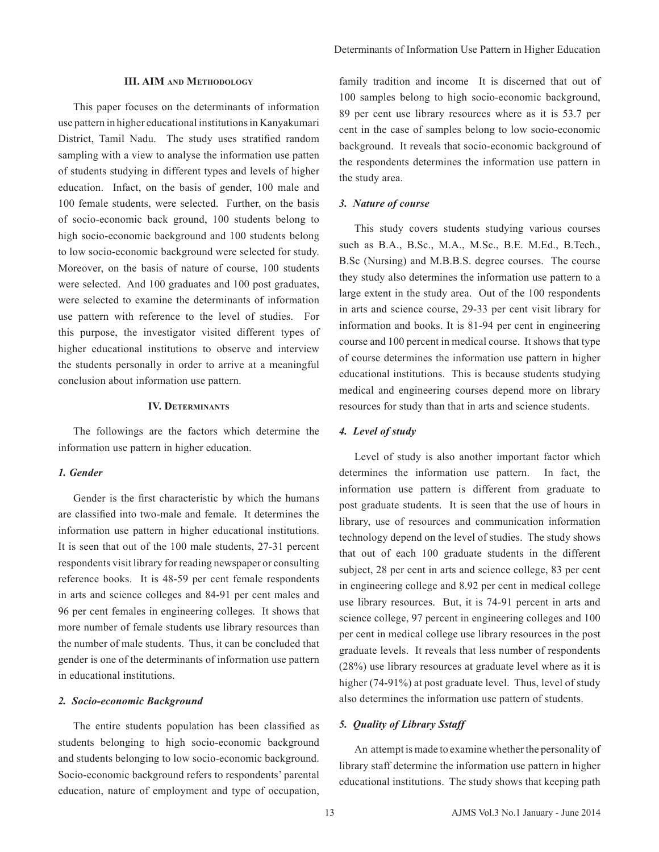#### **III. AIM and Methodology**

This paper focuses on the determinants of information use pattern in higher educational institutions in Kanyakumari District, Tamil Nadu. The study uses stratified random sampling with a view to analyse the information use patten of students studying in different types and levels of higher education. Infact, on the basis of gender, 100 male and 100 female students, were selected. Further, on the basis of socio-economic back ground, 100 students belong to high socio-economic background and 100 students belong to low socio-economic background were selected for study. Moreover, on the basis of nature of course, 100 students were selected. And 100 graduates and 100 post graduates, were selected to examine the determinants of information use pattern with reference to the level of studies. For this purpose, the investigator visited different types of higher educational institutions to observe and interview the students personally in order to arrive at a meaningful conclusion about information use pattern.

#### **IV. Determinants**

The followings are the factors which determine the information use pattern in higher education.

#### *1. Gender*

Gender is the first characteristic by which the humans are classified into two-male and female. It determines the information use pattern in higher educational institutions. It is seen that out of the 100 male students, 27-31 percent respondents visit library for reading newspaper or consulting reference books. It is 48-59 per cent female respondents in arts and science colleges and 84-91 per cent males and 96 per cent females in engineering colleges. It shows that more number of female students use library resources than the number of male students. Thus, it can be concluded that gender is one of the determinants of information use pattern in educational institutions.

## *2. Socio-economic Background*

The entire students population has been classified as students belonging to high socio-economic background and students belonging to low socio-economic background. Socio-economic background refers to respondents' parental education, nature of employment and type of occupation, family tradition and income It is discerned that out of 100 samples belong to high socio-economic background, 89 per cent use library resources where as it is 53.7 per cent in the case of samples belong to low socio-economic background. It reveals that socio-economic background of the respondents determines the information use pattern in the study area.

#### *3. Nature of course*

This study covers students studying various courses such as B.A., B.Sc., M.A., M.Sc., B.E. M.Ed., B.Tech., B.Sc (Nursing) and M.B.B.S. degree courses. The course they study also determines the information use pattern to a large extent in the study area. Out of the 100 respondents in arts and science course, 29-33 per cent visit library for information and books. It is 81-94 per cent in engineering course and 100 percent in medical course. It shows that type of course determines the information use pattern in higher educational institutions. This is because students studying medical and engineering courses depend more on library resources for study than that in arts and science students.

#### *4. Level of study*

Level of study is also another important factor which determines the information use pattern. In fact, the information use pattern is different from graduate to post graduate students. It is seen that the use of hours in library, use of resources and communication information technology depend on the level of studies. The study shows that out of each 100 graduate students in the different subject, 28 per cent in arts and science college, 83 per cent in engineering college and 8.92 per cent in medical college use library resources. But, it is 74-91 percent in arts and science college, 97 percent in engineering colleges and 100 per cent in medical college use library resources in the post graduate levels. It reveals that less number of respondents (28%) use library resources at graduate level where as it is higher (74-91%) at post graduate level. Thus, level of study also determines the information use pattern of students.

# *5. Quality of Library Sstaff*

An attempt is made to examine whether the personality of library staff determine the information use pattern in higher educational institutions. The study shows that keeping path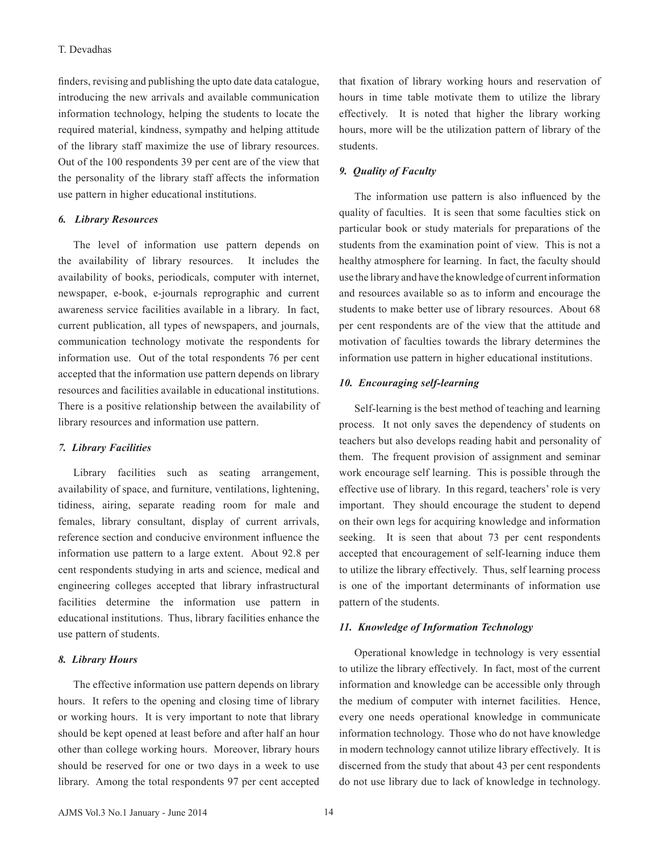## T. Devadhas

finders, revising and publishing the upto date data catalogue, introducing the new arrivals and available communication information technology, helping the students to locate the required material, kindness, sympathy and helping attitude of the library staff maximize the use of library resources. Out of the 100 respondents 39 per cent are of the view that the personality of the library staff affects the information use pattern in higher educational institutions.

## *6. Library Resources*

The level of information use pattern depends on the availability of library resources. It includes the availability of books, periodicals, computer with internet, newspaper, e-book, e-journals reprographic and current awareness service facilities available in a library. In fact, current publication, all types of newspapers, and journals, communication technology motivate the respondents for information use. Out of the total respondents 76 per cent accepted that the information use pattern depends on library resources and facilities available in educational institutions. There is a positive relationship between the availability of library resources and information use pattern.

#### *7. Library Facilities*

Library facilities such as seating arrangement, availability of space, and furniture, ventilations, lightening, tidiness, airing, separate reading room for male and females, library consultant, display of current arrivals, reference section and conducive environment influence the information use pattern to a large extent. About 92.8 per cent respondents studying in arts and science, medical and engineering colleges accepted that library infrastructural facilities determine the information use pattern in educational institutions. Thus, library facilities enhance the use pattern of students.

#### *8. Library Hours*

The effective information use pattern depends on library hours. It refers to the opening and closing time of library or working hours. It is very important to note that library should be kept opened at least before and after half an hour other than college working hours. Moreover, library hours should be reserved for one or two days in a week to use library. Among the total respondents 97 per cent accepted that fixation of library working hours and reservation of hours in time table motivate them to utilize the library effectively. It is noted that higher the library working hours, more will be the utilization pattern of library of the students.

# *9. Quality of Faculty*

The information use pattern is also influenced by the quality of faculties. It is seen that some faculties stick on particular book or study materials for preparations of the students from the examination point of view. This is not a healthy atmosphere for learning. In fact, the faculty should use the library and have the knowledge of current information and resources available so as to inform and encourage the students to make better use of library resources. About 68 per cent respondents are of the view that the attitude and motivation of faculties towards the library determines the information use pattern in higher educational institutions.

#### *10. Encouraging self-learning*

Self-learning is the best method of teaching and learning process. It not only saves the dependency of students on teachers but also develops reading habit and personality of them. The frequent provision of assignment and seminar work encourage self learning. This is possible through the effective use of library. In this regard, teachers' role is very important. They should encourage the student to depend on their own legs for acquiring knowledge and information seeking. It is seen that about 73 per cent respondents accepted that encouragement of self-learning induce them to utilize the library effectively. Thus, self learning process is one of the important determinants of information use pattern of the students.

#### *11. Knowledge of Information Technology*

Operational knowledge in technology is very essential to utilize the library effectively. In fact, most of the current information and knowledge can be accessible only through the medium of computer with internet facilities. Hence, every one needs operational knowledge in communicate information technology. Those who do not have knowledge in modern technology cannot utilize library effectively. It is discerned from the study that about 43 per cent respondents do not use library due to lack of knowledge in technology.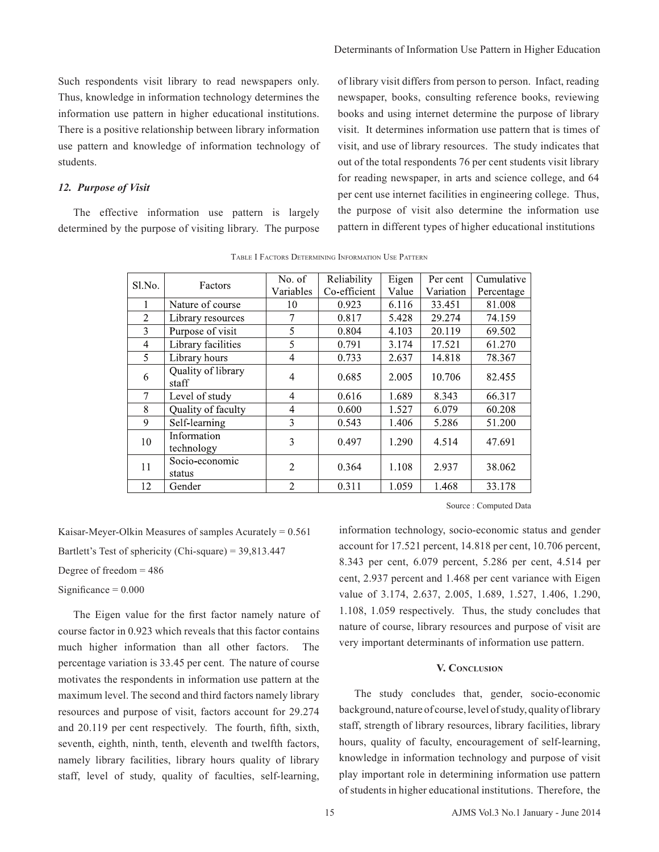Such respondents visit library to read newspapers only. Thus, knowledge in information technology determines the information use pattern in higher educational institutions. There is a positive relationship between library information use pattern and knowledge of information technology of students.

## *12. Purpose of Visit*

The effective information use pattern is largely determined by the purpose of visiting library. The purpose of library visit differs from person to person. Infact, reading newspaper, books, consulting reference books, reviewing books and using internet determine the purpose of library visit. It determines information use pattern that is times of visit, and use of library resources. The study indicates that out of the total respondents 76 per cent students visit library for reading newspaper, in arts and science college, and 64 per cent use internet facilities in engineering college. Thus, the purpose of visit also determine the information use pattern in different types of higher educational institutions

| Sl.No.         | Factors                     | No. of         | Reliability  | Eigen | Per cent  | Cumulative |
|----------------|-----------------------------|----------------|--------------|-------|-----------|------------|
|                |                             | Variables      | Co-efficient | Value | Variation | Percentage |
|                | Nature of course            | 10             | 0.923        | 6.116 | 33.451    | 81.008     |
| $\overline{2}$ | Library resources           | 7              | 0.817        | 5.428 | 29.274    | 74.159     |
| 3              | Purpose of visit            | 5              | 0.804        | 4.103 | 20.119    | 69.502     |
| 4              | Library facilities          | 5              | 0.791        | 3.174 | 17.521    | 61.270     |
| 5              | Library hours               | 4              | 0.733        | 2.637 | 14.818    | 78.367     |
| 6              | Quality of library<br>staff | $\overline{4}$ | 0.685        | 2.005 | 10.706    | 82.455     |
| 7              | Level of study              | $\overline{4}$ | 0.616        | 1.689 | 8.343     | 66.317     |
| 8              | Quality of faculty          | 4              | 0.600        | 1.527 | 6.079     | 60.208     |
| 9              | Self-learning               | 3              | 0.543        | 1.406 | 5.286     | 51.200     |
| 10             | Information<br>technology   | 3              | 0.497        | 1.290 | 4.514     | 47.691     |
| 11             | Socio-economic<br>status    | $\overline{2}$ | 0.364        | 1.108 | 2.937     | 38.062     |
| 12             | Gender                      | $\overline{2}$ | 0.311        | 1.059 | 1.468     | 33.178     |

Table I Factors Determining Information Use Pattern

Source : Computed Data

Kaisar-Meyer-Olkin Measures of samples Acurately = 0.561 Bartlett's Test of sphericity (Chi-square) = 39,813.447

Degree of freedom  $= 486$ 

Significance  $= 0.000$ 

The Eigen value for the first factor namely nature of course factor in 0.923 which reveals that this factor contains much higher information than all other factors. The percentage variation is 33.45 per cent. The nature of course motivates the respondents in information use pattern at the maximum level. The second and third factors namely library resources and purpose of visit, factors account for 29.274 and 20.119 per cent respectively. The fourth, fifth, sixth, seventh, eighth, ninth, tenth, eleventh and twelfth factors, namely library facilities, library hours quality of library staff, level of study, quality of faculties, self-learning, information technology, socio-economic status and gender account for 17.521 percent, 14.818 per cent, 10.706 percent, 8.343 per cent, 6.079 percent, 5.286 per cent, 4.514 per cent, 2.937 percent and 1.468 per cent variance with Eigen value of 3.174, 2.637, 2.005, 1.689, 1.527, 1.406, 1.290, 1.108, 1.059 respectively. Thus, the study concludes that nature of course, library resources and purpose of visit are very important determinants of information use pattern.

# **V. Conclusion**

The study concludes that, gender, socio-economic background, nature of course, level of study, quality of library staff, strength of library resources, library facilities, library hours, quality of faculty, encouragement of self-learning, knowledge in information technology and purpose of visit play important role in determining information use pattern of students in higher educational institutions. Therefore, the